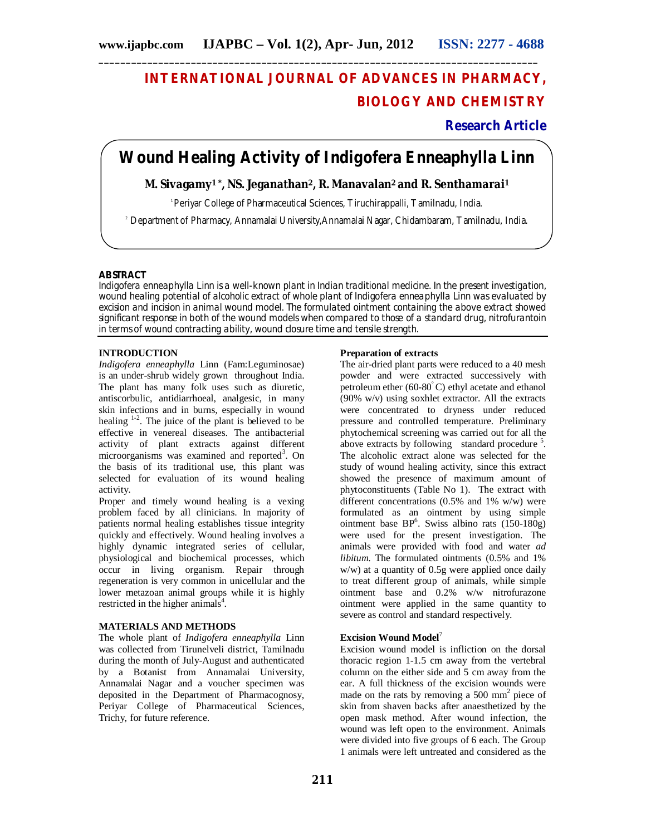# **INTERNATIONAL JOURNAL OF ADVANCES IN PHARMACY, BIOLOGY AND CHEMISTRY**

# **Research Article**

# **Wound Healing Activity of** *Indigofera Enneaphylla* **Linn**

# **M. Sivagamy1 \*, NS. Jeganathan2, R. Manavalan2 and R. Senthamarai<sup>1</sup>**

<sup>1</sup> Periyar College of Pharmaceutical Sciences, Tiruchirappalli, Tamilnadu, India.

<sup>2</sup> Department of Pharmacy, Annamalai University,Annamalai Nagar, Chidambaram, Tamilnadu, India.

## **ABSTRACT**

*Indigofera enneaphylla* Linn is a well-known plant in Indian traditional medicine. In the present investigation, wound healing potential of alcoholic extract of whole plant of *Indigofera enneaphylla Linn* was evaluated by excision and incision in animal wound model. The formulated ointment containing the above extract showed significant response in both of the wound models when compared to those of a standard drug, nitrofurantoin in terms of wound contracting ability, wound closure time and tensile strength.

## **INTRODUCTION**

*Indigofera enneaphylla* Linn (Fam:Leguminosae) is an under-shrub widely grown throughout India. The plant has many folk uses such as diuretic, antiscorbulic, antidiarrhoeal, analgesic, in many skin infections and in burns, especially in wound healing  $1-2$ . The juice of the plant is believed to be effective in venereal diseases. The antibacterial activity of plant extracts against different microorganisms was examined and reported<sup>3</sup>. On the basis of its traditional use, this plant was selected for evaluation of its wound healing activity.

Proper and timely wound healing is a vexing problem faced by all clinicians. In majority of patients normal healing establishes tissue integrity quickly and effectively. Wound healing involves a highly dynamic integrated series of cellular, physiological and biochemical processes, which occur in living organism. Repair through regeneration is very common in unicellular and the lower metazoan animal groups while it is highly restricted in the higher animals<sup>4</sup>.

# **MATERIALS AND METHODS**

The whole plant of *Indigofera enneaphylla* Linn was collected from Tirunelveli district, Tamilnadu during the month of July-August and authenticated by a Botanist from Annamalai University, Annamalai Nagar and a voucher specimen was deposited in the Department of Pharmacognosy, Periyar College of Pharmaceutical Sciences, Trichy, for future reference.

## **Preparation of extracts**

The air-dried plant parts were reduced to a 40 mesh powder and were extracted successively with petroleum ether  $(60-80^{\circ}C)$  ethyl acetate and ethanol (90% w/v) using soxhlet extractor. All the extracts were concentrated to dryness under reduced pressure and controlled temperature. Preliminary phytochemical screening was carried out for all the above extracts by following standard procedure  $5$ . The alcoholic extract alone was selected for the study of wound healing activity, since this extract showed the presence of maximum amount of phytoconstituents (Table No 1). The extract with different concentrations (0.5% and 1% w/w) were formulated as an ointment by using simple ointment base  $BP^6$ . Swiss albino rats (150-180g) were used for the present investigation. The animals were provided with food and water *ad libitum*. The formulated ointments (0.5% and 1% w/w) at a quantity of 0.5g were applied once daily to treat different group of animals, while simple ointment base and 0.2% w/w nitrofurazone ointment were applied in the same quantity to severe as control and standard respectively.

# **Excision Wound Model**<sup>7</sup>

Excision wound model is infliction on the dorsal thoracic region 1-1.5 cm away from the vertebral column on the either side and 5 cm away from the ear. A full thickness of the excision wounds were made on the rats by removing a 500 mm<sup>2</sup> piece of skin from shaven backs after anaesthetized by the open mask method. After wound infection, the wound was left open to the environment. Animals were divided into five groups of 6 each. The Group 1 animals were left untreated and considered as the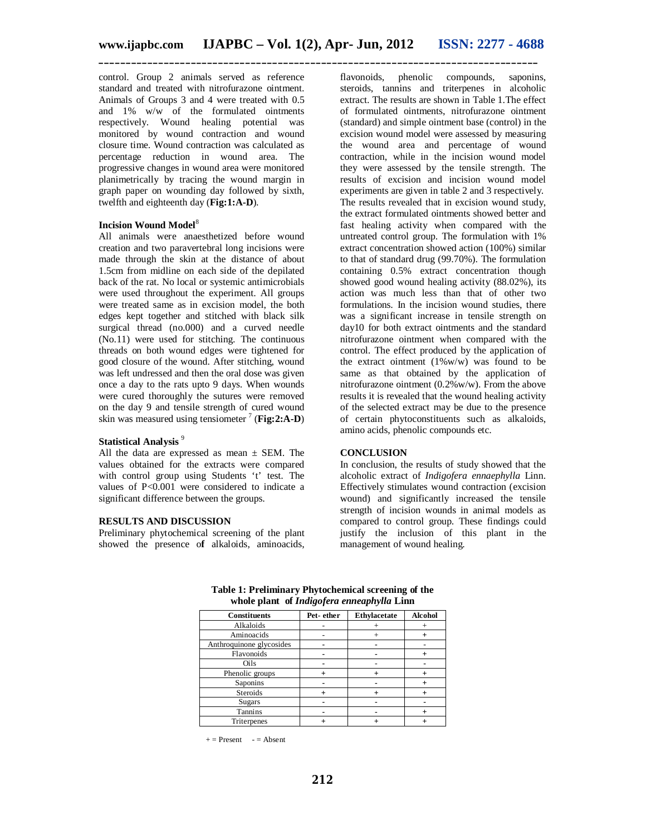control. Group 2 animals served as reference standard and treated with nitrofurazone ointment. Animals of Groups 3 and 4 were treated with 0.5 and 1% w/w of the formulated ointments respectively. Wound healing potential was monitored by wound contraction and wound closure time. Wound contraction was calculated as percentage reduction in wound area. The progressive changes in wound area were monitored planimetrically by tracing the wound margin in graph paper on wounding day followed by sixth, twelfth and eighteenth day (**Fig:1:A-D**).

#### **Incision Wound Model**<sup>8</sup>

All animals were anaesthetized before wound creation and two paravertebral long incisions were made through the skin at the distance of about 1.5cm from midline on each side of the depilated back of the rat. No local or systemic antimicrobials were used throughout the experiment. All groups were treated same as in excision model, the both edges kept together and stitched with black silk surgical thread (no.000) and a curved needle (No.11) were used for stitching. The continuous threads on both wound edges were tightened for good closure of the wound. After stitching, wound was left undressed and then the oral dose was given once a day to the rats upto 9 days. When wounds were cured thoroughly the sutures were removed on the day 9 and tensile strength of cured wound skin was measured using tensiometer  $\frac{7}{7}$  (Fig: 2:A-D)

# **Statistical Analysis** <sup>9</sup>

All the data are expressed as mean  $\pm$  SEM. The values obtained for the extracts were compared with control group using Students 't' test. The values of P<0.001 were considered to indicate a significant difference between the groups.

# **RESULTS AND DISCUSSION**

Preliminary phytochemical screening of the plant showed the presence o**f** alkaloids, aminoacids,

flavonoids, phenolic compounds, saponins, steroids, tannins and triterpenes in alcoholic extract. The results are shown in Table 1.The effect of formulated ointments, nitrofurazone ointment (standard) and simple ointment base (control) in the excision wound model were assessed by measuring the wound area and percentage of wound contraction, while in the incision wound model they were assessed by the tensile strength. The results of excision and incision wound model experiments are given in table 2 and 3 respectively. The results revealed that in excision wound study, the extract formulated ointments showed better and fast healing activity when compared with the untreated control group. The formulation with 1% extract concentration showed action (100%) similar to that of standard drug (99.70%). The formulation containing 0.5% extract concentration though showed good wound healing activity (88.02%), its action was much less than that of other two formulations. In the incision wound studies, there was a significant increase in tensile strength on day10 for both extract ointments and the standard nitrofurazone ointment when compared with the control. The effect produced by the application of the extract ointment (1%w/w) was found to be same as that obtained by the application of nitrofurazone ointment (0.2%w/w). From the above results it is revealed that the wound healing activity of the selected extract may be due to the presence of certain phytoconstituents such as alkaloids, amino acids, phenolic compounds etc.

#### **CONCLUSION**

In conclusion, the results of study showed that the alcoholic extract of *Indigofera ennaephylla* Linn. Effectively stimulates wound contraction (excision wound) and significantly increased the tensile strength of incision wounds in animal models as compared to control group. These findings could justify the inclusion of this plant in the management of wound healing.

| <b>Constituents</b>      | Pet-ether | Ethylacetate | <b>Alcohol</b> |
|--------------------------|-----------|--------------|----------------|
| Alkaloids                |           |              |                |
| Aminoacids               |           |              |                |
| Anthroquinone glycosides |           |              |                |
| Flavonoids               |           |              |                |
| Oils                     |           |              |                |
| Phenolic groups          |           |              |                |
| Saponins                 |           |              |                |
| Steroids                 |           |              |                |
| <b>Sugars</b>            |           |              |                |
| Tannins                  |           |              |                |
| Triterpenes              |           |              |                |

**Table 1: Preliminary Phytochemical screening of the whole plant of** *Indigofera enneaphylla* **Linn**

 $+=$  Present  $-$  = Absent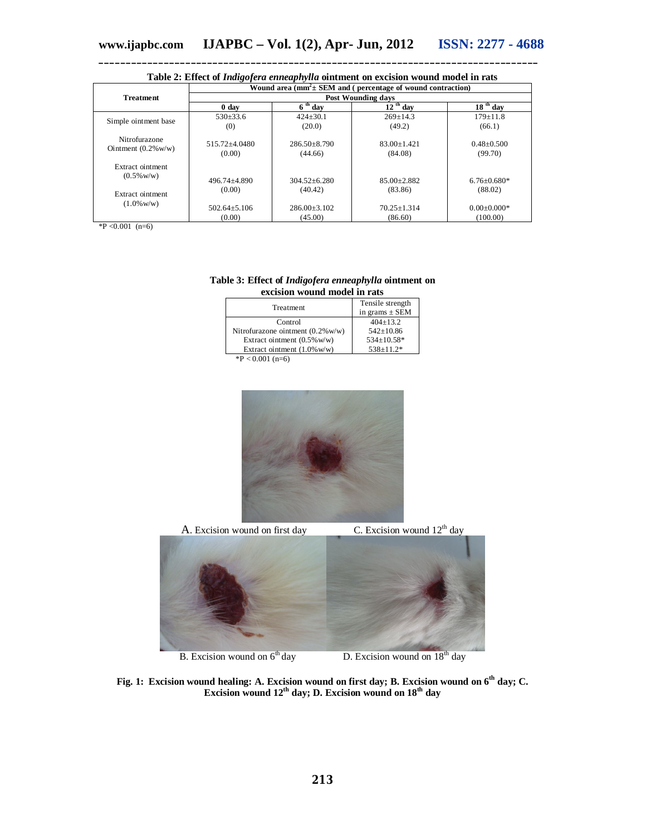| <b>Table 2.</b> Effect of <i>Indigo full embeddivide</i> officinely on excision wound model in Tats |                                                                                                 |                                  |                            |                              |  |
|-----------------------------------------------------------------------------------------------------|-------------------------------------------------------------------------------------------------|----------------------------------|----------------------------|------------------------------|--|
|                                                                                                     | Wound area $(mm^2 \pm SEM)$ and ( percentage of wound contraction)<br><b>Post Wounding days</b> |                                  |                            |                              |  |
| <b>Treatment</b>                                                                                    |                                                                                                 |                                  |                            |                              |  |
|                                                                                                     | 0 day                                                                                           | $\overline{6}$ <sup>th</sup> day | $12$ <sup>th</sup> day     | $18th$ day                   |  |
| Simple ointment base                                                                                | $530\pm 33.6$                                                                                   | $424 \pm 30.1$                   | $269 \pm 14.3$             | $179 \pm 11.8$               |  |
|                                                                                                     | (0)                                                                                             | (20.0)                           | (49.2)                     | (66.1)                       |  |
| Nitrofurazone<br>Ointment $(0.2\%$ w/w)                                                             | 515.72+4.0480<br>(0.00)                                                                         | $286.50 \pm 8.790$<br>(44.66)    | $83.00 + 1.421$<br>(84.08) | $0.48 \pm 0.500$<br>(99.70)  |  |
| Extract ointment<br>$(0.5\%$ w/w)                                                                   | $496.74 + 4.890$<br>(0.00)                                                                      | $304.52 + 6.280$<br>(40.42)      | $85.00 + 2.882$<br>(83.86) | $6.76 \pm 0.680*$<br>(88.02) |  |
| Extract ointment<br>$(1.0\%$ w/w)                                                                   | $502.64 \pm 5.106$                                                                              | $286.00 \pm 3.102$               | $70.25 \pm 1.314$          | $0.00 \pm 0.000*$            |  |
|                                                                                                     | (0.00)                                                                                          | (45.00)                          | (86.60)                    | (100.00)                     |  |

# **Table 2: Effect of** *Indigofera enneaphylla* **ointment on excision wound model in rats**

\*P <0.001 (n=6)

## **Table 3: Effect of** *Indigofera enneaphylla* **ointment on excision wound model in rats**

| Treatment                              | Tensile strength<br>in grams $\pm$ SEM |
|----------------------------------------|----------------------------------------|
| Control                                | $404+13.2$                             |
| Nitrofurazone ointment $(0.2\%$ w/w)   | $542 \pm 10.86$                        |
| Extract ointment $(0.5\% \text{ w/w})$ | 534±10.58*                             |
| Extract ointment $(1.0\% \text{ w/w})$ | $538+11.2*$                            |
| $*D \neq 0.001$ ( $\equiv$ $\in$ )     |                                        |

 $P < 0.001$  (n=6)



A. Excision wound on first day C. Excision wound  $12<sup>th</sup>$  day B. Excision wound on  $6<sup>th</sup>$  day D. Excision wound on  $18<sup>th</sup>$  day

**Fig. 1: Excision wound healing: A. Excision wound on first day; B. Excision wound on 6th day; C. Excision wound 12th day; D. Excision wound on 18th day**